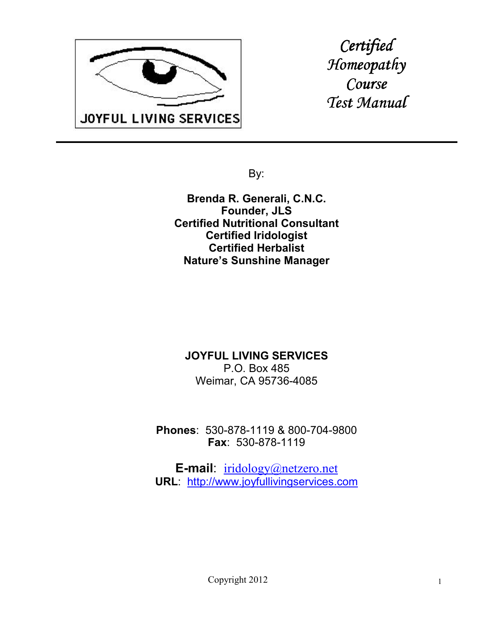

*Certified Homeopathy omeopathy Course Test Manual* 

By:

**Brenda R. Generali, C.N.C. Founder, JLS Certified Nutritional Consultant Certified Iridologist Certified Herbalist Nature's Sunshine Manager**

#### **JOYFUL LIVING SERVICES** P.O. Box 485 Weimar, CA 95736-4085

**Phones**: 530-878-1119 & 800-704-9800 **Fax**: 530-878-1119

**E-mail**: iridology@netzero.net **URL**: http://www.joyfullivingservices.com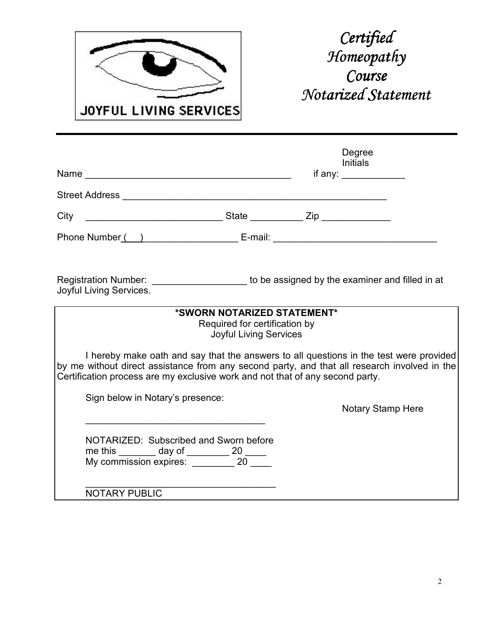

|                                                                                                                                                                                                                                                                                                             |                                                                                               | Degree<br><b>Initials</b><br>if any: $\frac{1}{\sqrt{1-\frac{1}{2}}\cdot\sqrt{1-\frac{1}{2}}\cdot\sqrt{1-\frac{1}{2}}\cdot\sqrt{1-\frac{1}{2}}\cdot\sqrt{1-\frac{1}{2}}\cdot\sqrt{1-\frac{1}{2}}\cdot\sqrt{1-\frac{1}{2}}\cdot\sqrt{1-\frac{1}{2}}\cdot\sqrt{1-\frac{1}{2}}\cdot\sqrt{1-\frac{1}{2}}\cdot\sqrt{1-\frac{1}{2}}\cdot\sqrt{1-\frac{1}{2}}\cdot\sqrt{1-\frac{1}{2}}\cdot\sqrt{1-\frac{1}{2}}\cdot\sqrt{1-\frac{1}{2}}\cdot\sqrt{1-\frac{1}{2}}\$ |  |
|-------------------------------------------------------------------------------------------------------------------------------------------------------------------------------------------------------------------------------------------------------------------------------------------------------------|-----------------------------------------------------------------------------------------------|--------------------------------------------------------------------------------------------------------------------------------------------------------------------------------------------------------------------------------------------------------------------------------------------------------------------------------------------------------------------------------------------------------------------------------------------------------------|--|
|                                                                                                                                                                                                                                                                                                             |                                                                                               |                                                                                                                                                                                                                                                                                                                                                                                                                                                              |  |
|                                                                                                                                                                                                                                                                                                             |                                                                                               |                                                                                                                                                                                                                                                                                                                                                                                                                                                              |  |
| Phone Number() E-mail: E-mail:                                                                                                                                                                                                                                                                              |                                                                                               |                                                                                                                                                                                                                                                                                                                                                                                                                                                              |  |
| Registration Number: _______________________ to be assigned by the examiner and filled in at<br>Joyful Living Services.                                                                                                                                                                                     | *SWORN NOTARIZED STATEMENT*<br>Required for certification by<br><b>Joyful Living Services</b> |                                                                                                                                                                                                                                                                                                                                                                                                                                                              |  |
| I hereby make oath and say that the answers to all questions in the test were provided<br>by me without direct assistance from any second party, and that all research involved in the<br>Certification process are my exclusive work and not that of any second party.<br>Sign below in Notary's presence: |                                                                                               | <b>Notary Stamp Here</b>                                                                                                                                                                                                                                                                                                                                                                                                                                     |  |
| NOTARIZED: Subscribed and Sworn before<br>me this _______ day of ________ 20 _____<br>My commission expires: ________ 20 _____                                                                                                                                                                              |                                                                                               |                                                                                                                                                                                                                                                                                                                                                                                                                                                              |  |
| <b>NOTARY PUBLIC</b>                                                                                                                                                                                                                                                                                        |                                                                                               |                                                                                                                                                                                                                                                                                                                                                                                                                                                              |  |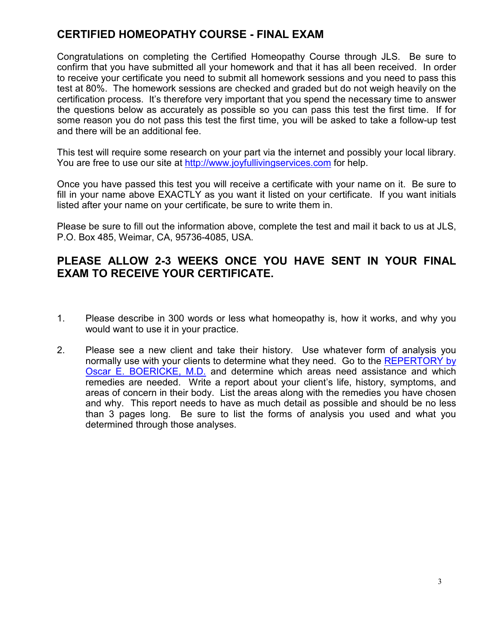## **CERTIFIED HOMEOPATHY COURSE - FINAL EXAM**

Congratulations on completing the Certified Homeopathy Course through JLS. Be sure to confirm that you have submitted all your homework and that it has all been received. In order to receive your certificate you need to submit all homework sessions and you need to pass this test at 80%. The homework sessions are checked and graded but do not weigh heavily on the certification process. It's therefore very important that you spend the necessary time to answer the questions below as accurately as possible so you can pass this test the first time. If for some reason you do not pass this test the first time, you will be asked to take a follow-up test and there will be an additional fee.

This test will require some research on your part via the internet and possibly your local library. You are free to use our site at http://www.joyfullivingservices.com for help.

Once you have passed this test you will receive a certificate with your name on it. Be sure to fill in your name above EXACTLY as you want it listed on your certificate. If you want initials listed after your name on your certificate, be sure to write them in.

Please be sure to fill out the information above, complete the test and mail it back to us at JLS, P.O. Box 485, Weimar, CA, 95736-4085, USA.

#### **PLEASE ALLOW 2-3 WEEKS ONCE YOU HAVE SENT IN YOUR FINAL EXAM TO RECEIVE YOUR CERTIFICATE.**

- 1. Please describe in 300 words or less what homeopathy is, how it works, and why you would want to use it in your practice.
- 2. Please see a new client and take their history. Use whatever form of analysis you normally use with your clients to determine what they need. Go to the REPERTORY by Oscar E. BOERICKE, M.D. and determine which areas need assistance and which remedies are needed. Write a report about your client's life, history, symptoms, and areas of concern in their body. List the areas along with the remedies you have chosen and why. This report needs to have as much detail as possible and should be no less than 3 pages long. Be sure to list the forms of analysis you used and what you determined through those analyses.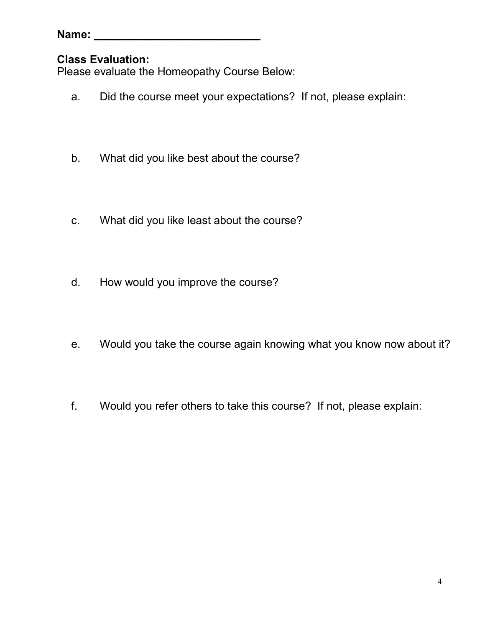| Name: |  |  |  |  |
|-------|--|--|--|--|
|       |  |  |  |  |

### **Class Evaluation:**

Please evaluate the Homeopathy Course Below:

- a. Did the course meet your expectations? If not, please explain:
- b. What did you like best about the course?
- c. What did you like least about the course?
- d. How would you improve the course?
- e. Would you take the course again knowing what you know now about it?
- f. Would you refer others to take this course? If not, please explain: